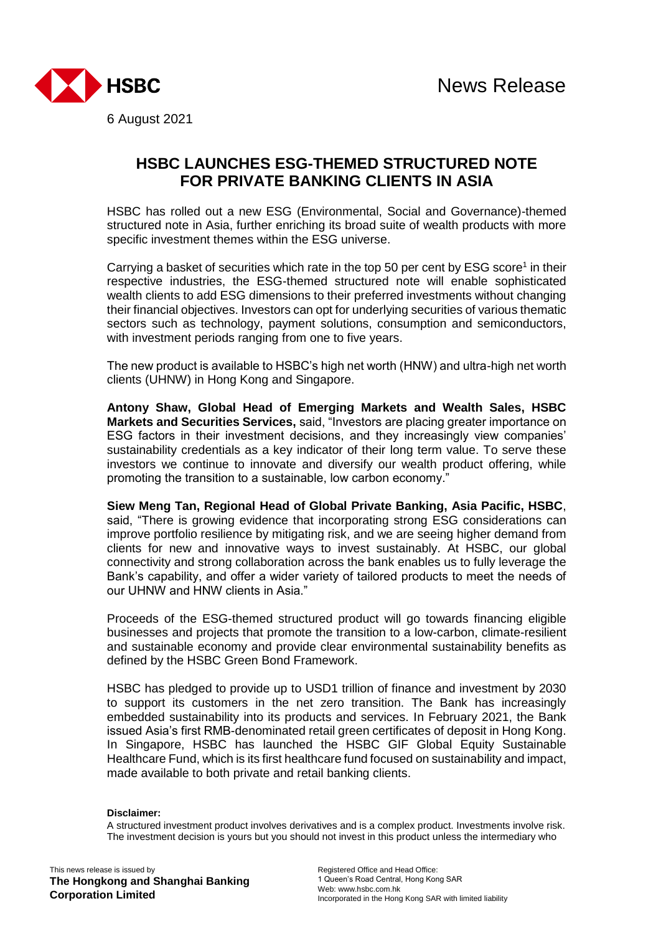

**HSBC LAUNCHES ESG-THEMED STRUCTURED NOTE FOR PRIVATE BANKING CLIENTS IN ASIA**

HSBC has rolled out a new ESG (Environmental, Social and Governance)-themed structured note in Asia, further enriching its broad suite of wealth products with more specific investment themes within the ESG universe.

Carrying a basket of securities which rate in the top 50 per cent by ESG score<sup>1</sup> in their respective industries, the ESG-themed structured note will enable sophisticated wealth clients to add ESG dimensions to their preferred investments without changing their financial objectives. Investors can opt for underlying securities of various thematic sectors such as technology, payment solutions, consumption and semiconductors, with investment periods ranging from one to five years.

The new product is available to HSBC's high net worth (HNW) and ultra-high net worth clients (UHNW) in Hong Kong and Singapore.

**Antony Shaw, Global Head of Emerging Markets and Wealth Sales, HSBC Markets and Securities Services,** said, "Investors are placing greater importance on ESG factors in their investment decisions, and they increasingly view companies' sustainability credentials as a key indicator of their long term value. To serve these investors we continue to innovate and diversify our wealth product offering, while promoting the transition to a sustainable, low carbon economy."

**Siew Meng Tan, Regional Head of Global Private Banking, Asia Pacific, HSBC**, said, "There is growing evidence that incorporating strong ESG considerations can improve portfolio resilience by mitigating risk, and we are seeing higher demand from clients for new and innovative ways to invest sustainably. At HSBC, our global connectivity and strong collaboration across the bank enables us to fully leverage the Bank's capability, and offer a wider variety of tailored products to meet the needs of our UHNW and HNW clients in Asia."

Proceeds of the ESG-themed structured product will go towards financing eligible businesses and projects that promote the transition to a low-carbon, climate-resilient and sustainable economy and provide clear environmental sustainability benefits as defined by the HSBC Green Bond Framework.

HSBC has pledged to provide up to USD1 trillion of finance and investment by 2030 to support its customers in the net zero transition. The Bank has increasingly embedded sustainability into its products and services. In February 2021, the Bank issued Asia's first RMB-denominated retail green certificates of deposit in Hong Kong. In Singapore, HSBC has launched the HSBC GIF Global Equity Sustainable Healthcare Fund, which is its first healthcare fund focused on sustainability and impact, made available to both private and retail banking clients.

## **Disclaimer:**

A structured investment product involves derivatives and is a complex product. Investments involve risk. The investment decision is yours but you should not invest in this product unless the intermediary who